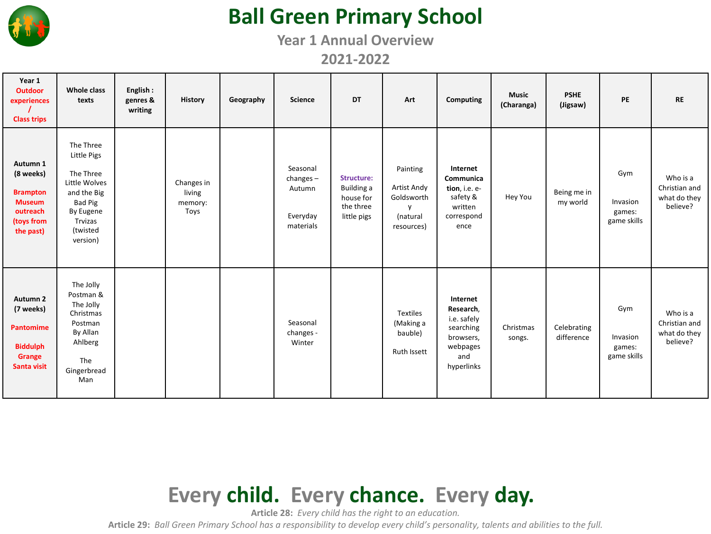

# **Ball Green Primary School**

**Year 1 Annual Overview**

**2021-2022**

| Year 1<br><b>Outdoor</b><br>experiences<br><b>Class trips</b>                                    | Whole class<br>texts                                                                                                             | English:<br>genres &<br>writing | <b>History</b>                          | Geography | <b>Science</b>                                             | DT                                                                | Art                                                                             | Computing                                                                                       | <b>Music</b><br>(Charanga) | <b>PSHE</b><br>(Jigsaw)   | PE                                       | <b>RE</b>                                             |
|--------------------------------------------------------------------------------------------------|----------------------------------------------------------------------------------------------------------------------------------|---------------------------------|-----------------------------------------|-----------|------------------------------------------------------------|-------------------------------------------------------------------|---------------------------------------------------------------------------------|-------------------------------------------------------------------------------------------------|----------------------------|---------------------------|------------------------------------------|-------------------------------------------------------|
| Autumn 1<br>(8 weeks)<br><b>Brampton</b><br><b>Museum</b><br>outreach<br>(toys from<br>the past) | The Three<br>Little Pigs<br>The Three<br>Little Wolves<br>and the Big<br>Bad Pig<br>By Eugene<br>Trvizas<br>(twisted<br>version) |                                 | Changes in<br>living<br>memory:<br>Toys |           | Seasonal<br>$changes -$<br>Autumn<br>Everyday<br>materials | Structure:<br>Building a<br>house for<br>the three<br>little pigs | Painting<br>Artist Andy<br>Goldsworth<br>$\mathsf{v}$<br>(natural<br>resources) | Internet<br>Communica<br>tion, i.e. e-<br>safety &<br>written<br>correspond<br>ence             | Hey You                    | Being me in<br>my world   | Gym<br>Invasion<br>games:<br>game skills | Who is a<br>Christian and<br>what do they<br>believe? |
| Autumn <sub>2</sub><br>(7 weeks)<br><b>Pantomime</b><br><b>Biddulph</b><br>Grange<br>Santa visit | The Jolly<br>Postman &<br>The Jolly<br>Christmas<br>Postman<br>By Allan<br>Ahlberg<br>The<br>Gingerbread<br>Man                  |                                 |                                         |           | Seasonal<br>changes -<br>Winter                            |                                                                   | <b>Textiles</b><br>(Making a<br>bauble)<br><b>Ruth Issett</b>                   | Internet<br>Research,<br>i.e. safely<br>searching<br>browsers,<br>webpages<br>and<br>hyperlinks | Christmas<br>songs.        | Celebrating<br>difference | Gym<br>Invasion<br>games:<br>game skills | Who is a<br>Christian and<br>what do they<br>believe? |

#### **Every child. Every chance. Every day.**

**Article 28:** *Every child has the right to an education.*

**Article 29:** *Ball Green Primary School has a responsibility to develop every child's personality, talents and abilities to the full.*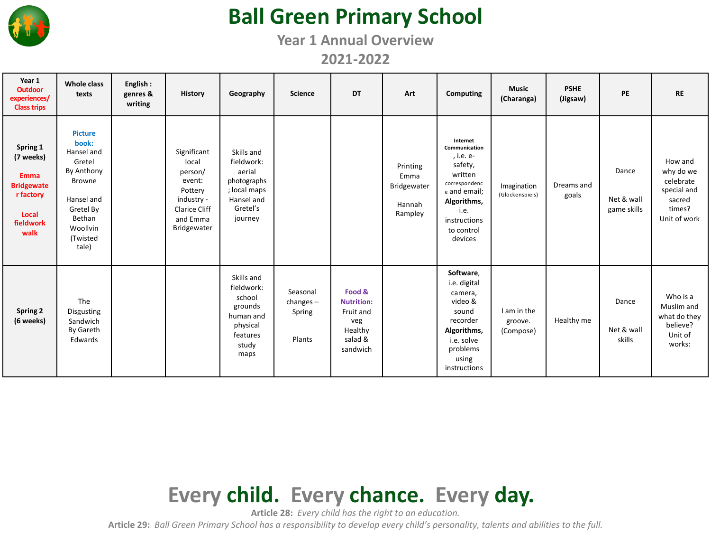

# **Ball Green Primary School**

**Year 1 Annual Overview**

**2021-2022**

| Year 1<br><b>Outdoor</b><br>experiences/<br><b>Class trips</b>                                       | Whole class<br>texts                                                                                                                                 | English:<br>genres &<br>writing | <b>History</b>                                                                                                 | Geography                                                                                              | <b>Science</b>                              | <b>DT</b>                                                                         | Art                                                  | Computing                                                                                                                                                     | <b>Music</b><br>(Charanga)          | <b>PSHE</b><br>(Jigsaw) | <b>PE</b>                          | <b>RE</b>                                                                            |
|------------------------------------------------------------------------------------------------------|------------------------------------------------------------------------------------------------------------------------------------------------------|---------------------------------|----------------------------------------------------------------------------------------------------------------|--------------------------------------------------------------------------------------------------------|---------------------------------------------|-----------------------------------------------------------------------------------|------------------------------------------------------|---------------------------------------------------------------------------------------------------------------------------------------------------------------|-------------------------------------|-------------------------|------------------------------------|--------------------------------------------------------------------------------------|
| Spring 1<br>(7 weeks)<br><b>Emma</b><br><b>Bridgewate</b><br>r factory<br>Local<br>fieldwork<br>walk | <b>Picture</b><br>book:<br>Hansel and<br>Gretel<br>By Anthony<br><b>Browne</b><br>Hansel and<br>Gretel By<br>Bethan<br>Woollvin<br>(Twisted<br>tale) |                                 | Significant<br>local<br>person/<br>event:<br>Pottery<br>industry -<br>Clarice Cliff<br>and Emma<br>Bridgewater | Skills and<br>fieldwork:<br>aerial<br>photographs<br>; local maps<br>Hansel and<br>Gretel's<br>journey |                                             |                                                                                   | Printing<br>Emma<br>Bridgewater<br>Hannah<br>Rampley | Internet<br>Communication<br>, i.e. e-<br>safety,<br>written<br>correspondenc<br>e and email;<br>Algorithms,<br>i.e.<br>instructions<br>to control<br>devices | Imagination<br>(Glockenspiels)      | Dreams and<br>goals     | Dance<br>Net & wall<br>game skills | How and<br>why do we<br>celebrate<br>special and<br>sacred<br>times?<br>Unit of work |
| Spring 2<br>(6 weeks)                                                                                | The<br>Disgusting<br>Sandwich<br>By Gareth<br>Edwards                                                                                                |                                 |                                                                                                                | Skills and<br>fieldwork:<br>school<br>grounds<br>human and<br>physical<br>features<br>study<br>maps    | Seasonal<br>changes $-$<br>Spring<br>Plants | Food &<br><b>Nutrition:</b><br>Fruit and<br>veg<br>Healthy<br>salad &<br>sandwich |                                                      | Software,<br>i.e. digital<br>camera,<br>video &<br>sound<br>recorder<br>Algorithms,<br>i.e. solve<br>problems<br>using<br>instructions                        | I am in the<br>groove.<br>(Compose) | Healthy me              | Dance<br>Net & wall<br>skills      | Who is a<br>Muslim and<br>what do they<br>believe?<br>Unit of<br>works:              |

# **Every child. Every chance. Every day.**

**Article 28:** *Every child has the right to an education.*

**Article 29:** *Ball Green Primary School has a responsibility to develop every child's personality, talents and abilities to the full.*